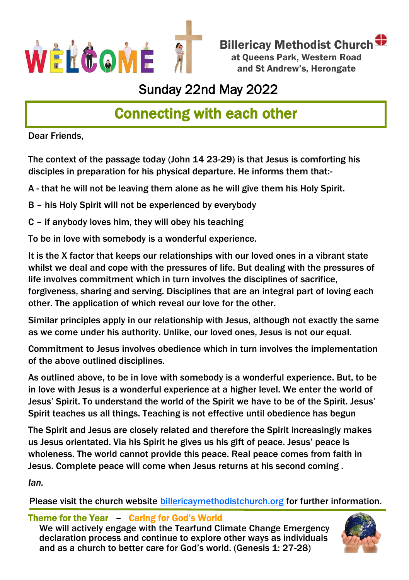

Billericay Methodist Church at Queens Park, Western Road and St Andrew's, Herongate

## Sunday 22nd May 2022

# Connecting with each other

Dear Friends,

The context of the passage today (John 14 23-29) is that Jesus is comforting his disciples in preparation for his physical departure. He informs them that:-

A - that he will not be leaving them alone as he will give them his Holy Spirit.

B – his Holy Spirit will not be experienced by everybody

C – if anybody loves him, they will obey his teaching

To be in love with somebody is a wonderful experience.

It is the X factor that keeps our relationships with our loved ones in a vibrant state whilst we deal and cope with the pressures of life. But dealing with the pressures of life involves commitment which in turn involves the disciplines of sacrifice, forgiveness, sharing and serving. Disciplines that are an integral part of loving each other. The application of which reveal our love for the other.

Similar principles apply in our relationship with Jesus, although not exactly the same as we come under his authority. Unlike, our loved ones, Jesus is not our equal.

Commitment to Jesus involves obedience which in turn involves the implementation of the above outlined disciplines.

As outlined above, to be in love with somebody is a wonderful experience. But, to be in love with Jesus is a wonderful experience at a higher level. We enter the world of Jesus' Spirit. To understand the world of the Spirit we have to be of the Spirit. Jesus' Spirit teaches us all things. Teaching is not effective until obedience has begun

The Spirit and Jesus are closely related and therefore the Spirit increasingly makes us Jesus orientated. Via his Spirit he gives us his gift of peace. Jesus' peace is wholeness. The world cannot provide this peace. Real peace comes from faith in Jesus. Complete peace will come when Jesus returns at his second coming .

*Ian.*

Please visit the church website [billericaymethodistchurch.org](http://www.billericaymethodistchurch.org.) for further information.

#### Theme for the Year – Caring for God's World

We will actively engage with the Tearfund Climate Change Emergency declaration process and continue to explore other ways as individuals and as a church to better care for God's world. (Genesis 1: 27-28)

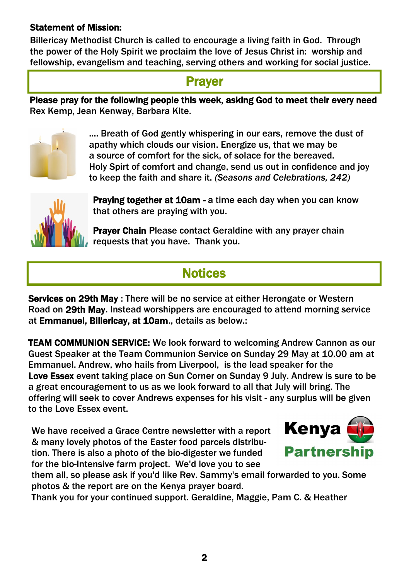#### Statement of Mission:

Billericay Methodist Church is called to encourage a living faith in God. Through the power of the Holy Spirit we proclaim the love of Jesus Christ in: worship and fellowship, evangelism and teaching, serving others and working for social justice.

### **Prayer**

Please pray for the following people this week, asking God to meet their every need Rex Kemp, Jean Kenway, Barbara Kite.



.... Breath of God gently whispering in our ears, remove the dust of apathy which clouds our vision. Energize us, that we may be a source of comfort for the sick, of solace for the bereaved. Holy Spirt of comfort and change, send us out in confidence and joy to keep the faith and share it. *(Seasons and Celebrations, 242)*



Praving together at 10am - a time each day when you can know that others are praying with you.

Prayer Chain Please contact Geraldine with any prayer chain requests that you have. Thank you.

## **Notices**

Services on 29th May : There will be no service at either Herongate or Western Road on 29th May. Instead worshippers are encouraged to attend morning service at Emmanuel, Billericay, at 10am., details as below.:

TEAM COMMUNION SERVICE: We look forward to welcoming Andrew Cannon as our Guest Speaker at the Team Communion Service on Sunday 29 May at 10.00 am at Emmanuel. Andrew, who hails from Liverpool, is the lead speaker for the Love Essex event taking place on Sun Corner on Sunday 9 July. Andrew is sure to be a great encouragement to us as we look forward to all that July will bring. The offering will seek to cover Andrews expenses for his visit - any surplus will be given to the Love Essex event.

We have received a Grace Centre newsletter with a report & many lovely photos of the Easter food parcels distribution. There is also a photo of the bio-digester we funded for the bio-Intensive farm project. We'd love you to see



them all, so please ask if you'd like Rev. Sammy's email forwarded to you. Some photos & the report are on the Kenya prayer board.

Thank you for your continued support. Geraldine, Maggie, Pam C. & Heather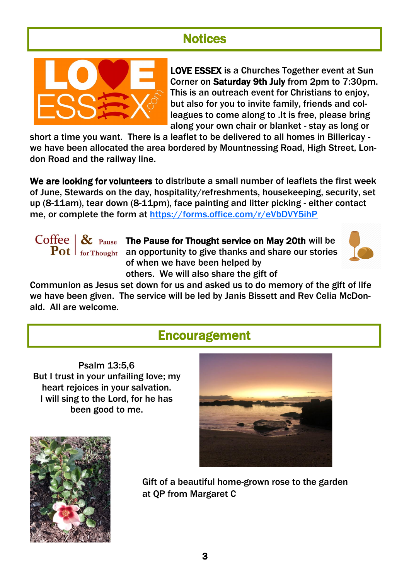## **Notices**



LOVE ESSEX is a Churches Together event at Sun Corner on Saturday 9th July from 2pm to 7:30pm. This is an outreach event for Christians to enjoy, but also for you to invite family, friends and colleagues to come along to .It is free, please bring along your own chair or blanket - stay as long or

short a time you want. There is a leaflet to be delivered to all homes in Billericay we have been allocated the area bordered by Mountnessing Road, High Street, London Road and the railway line.

We are looking for volunteers to distribute a small number of leaflets the first week of June, Stewards on the day, hospitality/refreshments, housekeeping, security, set up (8-11am), tear down (8-11pm), face painting and litter picking - either contact me, or complete the form at <https://forms.office.com/r/eVbDVY5ihP>

Coffee  $\mathcal{R}$  Pause The Pause for Thought service on May 20th will be  $\left. \mathbf{Pot} \; \right|$  for Thought an opportunity to give thanks and share our stories of when we have been helped by others. We will also share the gift of



Communion as Jesus set down for us and asked us to do memory of the gift of life we have been given. The service will be led by Janis Bissett and Rev Celia McDonald. All are welcome.

### Encouragement

Psalm 13:5,6 But I trust in your unfailing love; my heart rejoices in your salvation. I will sing to the Lord, for he has been good to me.





Gift of a beautiful home-grown rose to the garden at QP from Margaret C